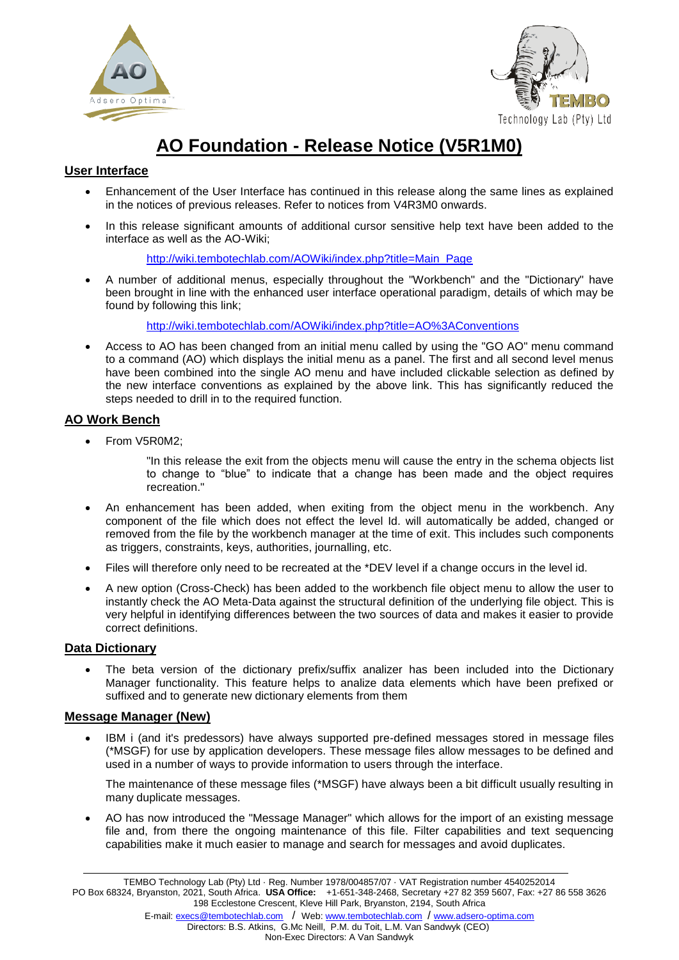



# **AO Foundation - Release Notice (V5R1M0)**

# **User Interface**

- Enhancement of the User Interface has continued in this release along the same lines as explained in the notices of previous releases. Refer to notices from V4R3M0 onwards.
- In this release significant amounts of additional cursor sensitive help text have been added to the interface as well as the AO-Wiki;

[http://wiki.tembotechlab.com/AOWiki/index.php?title=Main\\_Page](http://wiki.tembotechlab.com/AOWiki/index.php?title=Main_Page)

 A number of additional menus, especially throughout the "Workbench" and the "Dictionary" have been brought in line with the enhanced user interface operational paradigm, details of which may be found by following this link;

<http://wiki.tembotechlab.com/AOWiki/index.php?title=AO%3AConventions>

 Access to AO has been changed from an initial menu called by using the "GO AO" menu command to a command (AO) which displays the initial menu as a panel. The first and all second level menus have been combined into the single AO menu and have included clickable selection as defined by the new interface conventions as explained by the above link. This has significantly reduced the steps needed to drill in to the required function.

## **AO Work Bench**

• From V5R0M2:

"In this release the exit from the objects menu will cause the entry in the schema objects list to change to "blue" to indicate that a change has been made and the object requires recreation."

- An enhancement has been added, when exiting from the object menu in the workbench. Any component of the file which does not effect the level Id. will automatically be added, changed or removed from the file by the workbench manager at the time of exit. This includes such components as triggers, constraints, keys, authorities, journalling, etc.
- Files will therefore only need to be recreated at the \*DEV level if a change occurs in the level id.
- A new option (Cross-Check) has been added to the workbench file object menu to allow the user to instantly check the AO Meta-Data against the structural definition of the underlying file object. This is very helpful in identifying differences between the two sources of data and makes it easier to provide correct definitions.

## **Data Dictionary**

 The beta version of the dictionary prefix/suffix analizer has been included into the Dictionary Manager functionality. This feature helps to analize data elements which have been prefixed or suffixed and to generate new dictionary elements from them

## **Message Manager (New)**

 IBM i (and it's predessors) have always supported pre-defined messages stored in message files (\*MSGF) for use by application developers. These message files allow messages to be defined and used in a number of ways to provide information to users through the interface.

The maintenance of these message files (\*MSGF) have always been a bit difficult usually resulting in many duplicate messages.

 AO has now introduced the "Message Manager" which allows for the import of an existing message file and, from there the ongoing maintenance of this file. Filter capabilities and text sequencing capabilities make it much easier to manage and search for messages and avoid duplicates.

TEMBO Technology Lab (Pty) Ltd · Reg. Number 1978/004857/07 · VAT Registration number 4540252014 PO Box 68324, Bryanston, 2021, South Africa. **USA Office:** +1-651-348-2468, Secretary +27 82 359 5607, Fax: +27 86 558 3626 198 Ecclestone Crescent, Kleve Hill Park, Bryanston, 2194, South Africa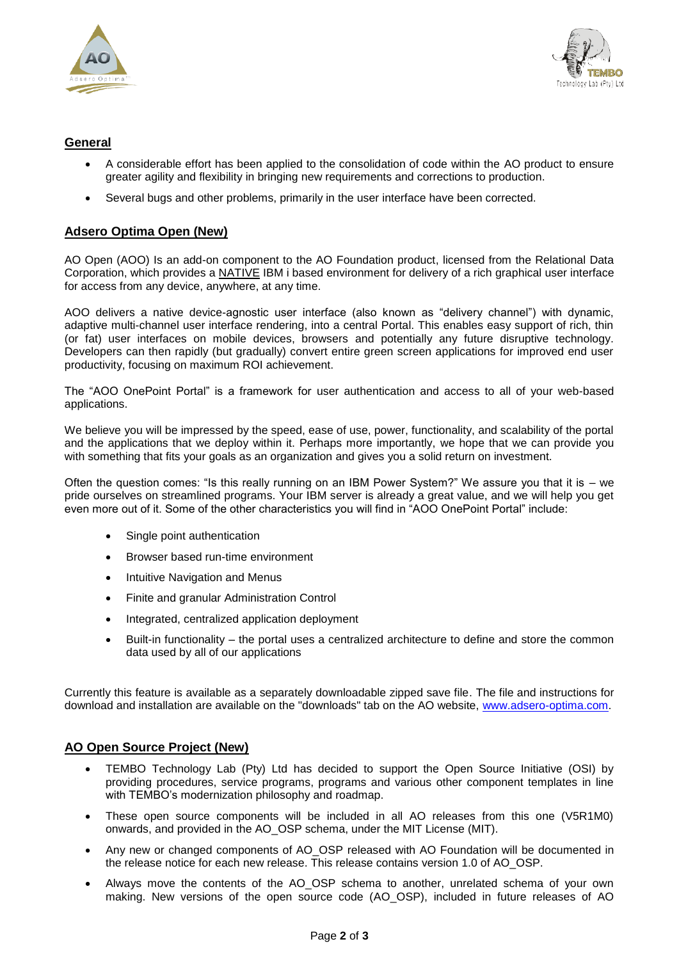



#### **General**

- A considerable effort has been applied to the consolidation of code within the AO product to ensure greater agility and flexibility in bringing new requirements and corrections to production.
- Several bugs and other problems, primarily in the user interface have been corrected.

#### **Adsero Optima Open (New)**

AO Open (AOO) Is an add-on component to the AO Foundation product, licensed from the Relational Data Corporation, which provides a NATIVE IBM i based environment for delivery of a rich graphical user interface for access from any device, anywhere, at any time.

AOO delivers a native device-agnostic user interface (also known as "delivery channel") with dynamic, adaptive multi-channel user interface rendering, into a central Portal. This enables easy support of rich, thin (or fat) user interfaces on mobile devices, browsers and potentially any future disruptive technology. Developers can then rapidly (but gradually) convert entire green screen applications for improved end user productivity, focusing on maximum ROI achievement.

The "AOO OnePoint Portal" is a framework for user authentication and access to all of your web-based applications.

We believe you will be impressed by the speed, ease of use, power, functionality, and scalability of the portal and the applications that we deploy within it. Perhaps more importantly, we hope that we can provide you with something that fits your goals as an organization and gives you a solid return on investment.

Often the question comes: "Is this really running on an IBM Power System?" We assure you that it is – we pride ourselves on streamlined programs. Your IBM server is already a great value, and we will help you get even more out of it. Some of the other characteristics you will find in "AOO OnePoint Portal" include:

- Single point authentication
- Browser based run-time environment
- Intuitive Navigation and Menus
- Finite and granular Administration Control
- Integrated, centralized application deployment
- Built-in functionality the portal uses a centralized architecture to define and store the common data used by all of our applications

Currently this feature is available as a separately downloadable zipped save file. The file and instructions for download and installation are available on the "downloads" tab on the AO website, [www.adsero-optima.com.](http://www.adsero-optima.com/)

#### **AO Open Source Project (New)**

- TEMBO Technology Lab (Pty) Ltd has decided to support the Open Source Initiative (OSI) by providing procedures, service programs, programs and various other component templates in line with TEMBO's modernization philosophy and roadmap.
- These open source components will be included in all AO releases from this one (V5R1M0) onwards, and provided in the AO\_OSP schema, under the MIT License (MIT).
- Any new or changed components of AO\_OSP released with AO Foundation will be documented in the release notice for each new release. This release contains version 1.0 of AO\_OSP.
- Always move the contents of the AO\_OSP schema to another, unrelated schema of your own making. New versions of the open source code (AO\_OSP), included in future releases of AO